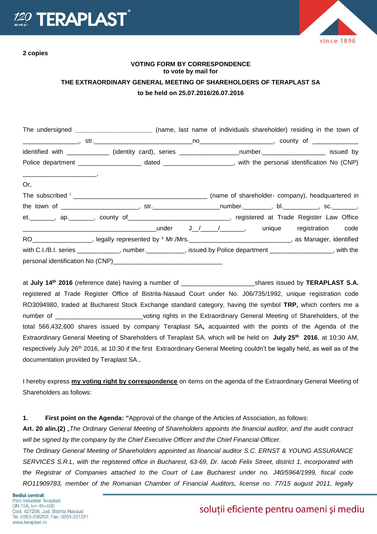

**2 copies**

since 1896

## **VOTING FORM BY CORRESPONDENCE to vote by mail for THE EXTRAORDINARY GENERAL MEETING OF SHAREHOLDERS OF TERAPLAST SA to be held on 25.07.2016/26.07.2016**

|     | The undersigned __________________________ (name, last name of individuals shareholder) residing in the town of |  |  |  |
|-----|-----------------------------------------------------------------------------------------------------------------|--|--|--|
|     |                                                                                                                 |  |  |  |
|     | identified with _____________ (identity card), series __________________number.____________________ issued by   |  |  |  |
|     |                                                                                                                 |  |  |  |
| Or, |                                                                                                                 |  |  |  |
|     |                                                                                                                 |  |  |  |
|     |                                                                                                                 |  |  |  |
|     | et. _______, ap. _______, county of _____________________________, registered at Trade Register Law Office      |  |  |  |
|     |                                                                                                                 |  |  |  |
|     | RO___________________, legally represented by " Mr./Mrs._______________________________, as Manager, identified |  |  |  |
|     | with C.I./B.I. series ____________, number.__________, issued by Police department ________________, with the   |  |  |  |
|     |                                                                                                                 |  |  |  |

at **July 14 th 2016** (reference date) having a number of \_\_\_\_\_\_\_\_\_\_\_\_\_\_\_\_\_\_\_\_\_shares issued by **TERAPLAST S.A.** registered at Trade Register Office of Bistrita-Nasaud Court under No. J06/735/1992, unique registration code RO3094980, traded at Bucharest Stock Exchange standard category, having the symbol **TRP,** which confers me a number of \_\_\_\_\_\_\_\_\_\_\_\_\_\_\_\_\_\_\_\_\_\_\_\_\_\_\_voting rights in the Extraordinary General Meeting of Shareholders, of the total 566,432,600 shares issued by company Teraplast SA**,** acquainted with the points of the Agenda of the Extraordinary General Meeting of Shareholders of Teraplast SA, which will be held on **July 25 th 2016**, at 10:30 AM, respectively July 26<sup>th</sup> 2016, at 10:30 if the first Extraordinary General Meeting couldn't be legally held, as well as of the documentation provided by Teraplast SA.,

I hereby express **my voting right by correspondence** on items on the agenda of the Extraordinary General Meeting of Shareholders as follows:

**1. First point on the Agenda: "**Approval of the change of the Articles of Association, as follows:

**Art. 20 alin.(2)** *"The Ordinary General Meeting of Shareholders appoints the financial auditor, and the audit contract will be signed by the company by the Chief Executive Officer and the Chief Financial Officer.*

*The Ordinary General Meeting of Shareholders appointed as financial auditor S.C. ERNST & YOUNG ASSURANCE SERVICES S.R.L, with the registered office in Bucharest, 63-69, Dr. Iacob Felix Street, district 1, incorporated with the Registrar of Companies attached to the Court of Law Bucharest under no. J40/5964/1999, fiscal code RO11909783, member of the Romanian Chamber of Financial Auditors, license no. 77/15 august 2011, legally* 

## soluții eficiente pentru oameni și mediu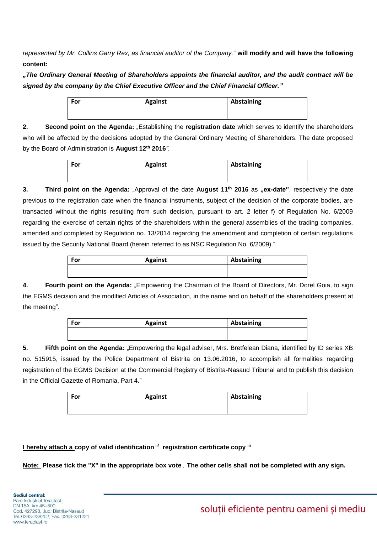*represented by Mr. Collins Garry Rex, as financial auditor of the Company."* **will modify and will have the following content:** 

*"The Ordinary General Meeting of Shareholders appoints the financial auditor, and the audit contract will be signed by the company by the Chief Executive Officer and the Chief Financial Officer."*

| <b>For</b> | <b>Against</b> | Abstaining |
|------------|----------------|------------|
|            |                |            |

**2. Second point on the Agenda:** "Establishing the **registration date** which serves to identify the shareholders who will be affected by the decisions adopted by the General Ordinary Meeting of Shareholders. The date proposed by the Board of Administration is **August 12th 2016***".*

| <b>For</b> | <b>Against</b> | Abstaining |
|------------|----------------|------------|
|            |                |            |
|            |                |            |

**3. Third point on the Agenda:** "Approval of the date **August 11th 2016** as **"ex-date"**, respectively the date previous to the registration date when the financial instruments, subject of the decision of the corporate bodies, are transacted without the rights resulting from such decision, pursuant to art. 2 letter f) of Regulation No. 6/2009 regarding the exercise of certain rights of the shareholders within the general assemblies of the trading companies, amended and completed by Regulation no. 13/2014 regarding the amendment and completion of certain regulations issued by the Security National Board (herein referred to as NSC Regulation No. 6/2009)."

| For | <b>Against</b> | Abstaining |
|-----|----------------|------------|
|     |                |            |
|     |                |            |

**4. <b>Fourth point on the Agenda:** "Empowering the Chairman of the Board of Directors, Mr. Dorel Goia, to sign the EGMS decision and the modified Articles of Association, in the name and on behalf of the shareholders present at the meeting".

| For | <b>Against</b> | Abstaining |
|-----|----------------|------------|
|     |                |            |

**5. Fifth point on the Agenda:** "Empowering the legal adviser, Mrs. Bretfelean Diana, identified by ID series XB no. 515915, issued by the Police Department of Bistrita on 13.06.2016, to accomplish all formalities regarding registration of the EGMS Decision at the Commercial Registry of Bistrita-Nasaud Tribunal and to publish this decision in the Official Gazette of Romania, Part 4."

| For | <b>Against</b> | Abstaining |  |
|-----|----------------|------------|--|
|     |                |            |  |

**I hereby attach a copy of valid identification ii/ registration certificate copy iii**

**Note: Please tick the "X" in the appropriate box vote**. **The other cells shall not be completed with any sign.**